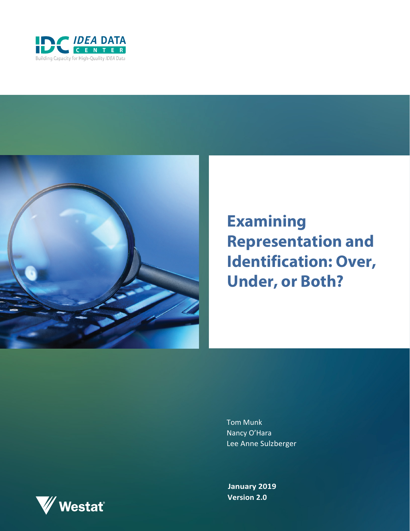



# **Examining Representation and Identification: Over, Under, or Both?**

Tom Munk Nancy O'Hara Lee Anne Sulzberger

**January 2019 Version 2.0**

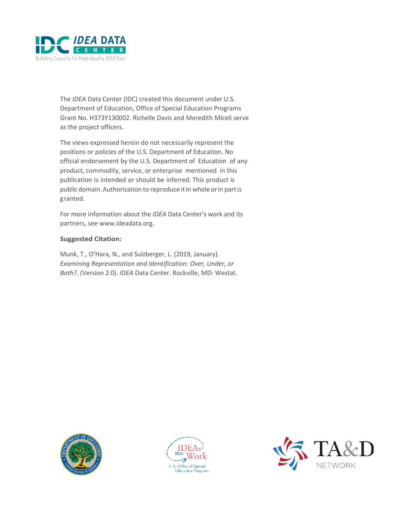

The *IDEA* Data Center (IDC) created this document under U.S. Department of Education, Office of Special Education Programs Grant No. H373Y130002. Richelle Davis and Meredith Miceli serve as the project officers.

The views expressed herein do not necessarily represent the positions or policies of the U.S. Department of Education. No official endorsement by the U.S. Department of Education of any product, commodity, service, or enterprise mentioned in this publication is intended or should be inferred. This product is public domain.Authorization to reproduce itin whole orin partis granted.

For more information about the *IDEA* Data Center's work and its partners, se[e www.ideadata.org.](http://www.ideadata.org/)

#### **Suggested Citation:**

Munk, T., O'Hara, N., and Sulzberger, L. (2019, January). *Examining Representation and Identification: Over, Under, or Both?*. (Version 2.0). *IDEA* Data Center. Rockville, MD: Westat.





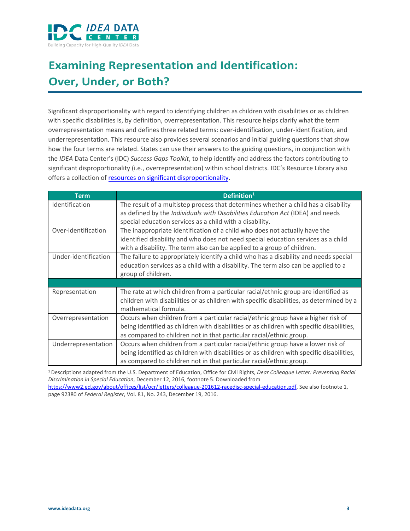

# **Examining Representation and Identification: Over, Under, or Both?**

Significant disproportionality with regard to identifying children as children with disabilities or as children with specific disabilities is, by definition, overrepresentation. This resource helps clarify what the term overrepresentation means and defines three related terms: over-identification, under-identification, and underrepresentation. This resource also provides several scenarios and initial guiding questions that show how the four terms are related. States can use their answers to the guiding questions, in conjunction with the *IDEA* Data Center's (IDC) *[Success Gaps Toolkit](https://ideadata.org/resources/resource/1538/success-gaps-toolkit)*, to help identify and address the factors contributing to significant disproportionality (i.e., overrepresentation) within school districts. IDC's Resource Library also offers [a collection](https://ideadata.org/resource-library/listing/?search=%22OSEP+Resources+on+Significant+Disproportionality%22&sort=relevancy&format%5B%5D=56673176140ba026618b456a&format%5B%5D=58345a5b150ba063378b4594&format%5B%5D=57a8d13f140ba09a398b4572&format%5B%5D=54c6ba7f150ba0c1508b4569&format%5B%5D=5554fd44140ba0c44b8b457b&format%5B%5D=545cd5cc140ba02c4a8b4568) of [resources on significant disproportionality.](https://ideadata.org/search?keyword=significant%20disproportionality&sort_bef_combine=search_api_relevance%20DESC)

| <b>Term</b>          | Definition <sup>1</sup>                                                                                                                                                                                                                              |
|----------------------|------------------------------------------------------------------------------------------------------------------------------------------------------------------------------------------------------------------------------------------------------|
| Identification       | The result of a multistep process that determines whether a child has a disability<br>as defined by the Individuals with Disabilities Education Act (IDEA) and needs<br>special education services as a child with a disability.                     |
| Over-identification  | The inappropriate identification of a child who does not actually have the<br>identified disability and who does not need special education services as a child<br>with a disability. The term also can be applied to a group of children.           |
| Under-identification | The failure to appropriately identify a child who has a disability and needs special<br>education services as a child with a disability. The term also can be applied to a<br>group of children.                                                     |
|                      |                                                                                                                                                                                                                                                      |
| Representation       | The rate at which children from a particular racial/ethnic group are identified as<br>children with disabilities or as children with specific disabilities, as determined by a<br>mathematical formula.                                              |
| Overrepresentation   | Occurs when children from a particular racial/ethnic group have a higher risk of<br>being identified as children with disabilities or as children with specific disabilities,<br>as compared to children not in that particular racial/ethnic group. |
| Underrepresentation  | Occurs when children from a particular racial/ethnic group have a lower risk of<br>being identified as children with disabilities or as children with specific disabilities,<br>as compared to children not in that particular racial/ethnic group.  |

1 Descriptions adapted from the U.S. Department of Education, Office for Civil Rights, *Dear Colleague Letter: Preventing Racial Discrimination in Special Education*, December 12, 2016, footnote 5. Downloaded from [https://www2.ed.gov/about/offices/list/ocr/letters/colleague-201612-racedisc-special-education.pdf.](https://www2.ed.gov/about/offices/list/ocr/letters/colleague-201612-racedisc-special-education.pdf) See also footnote 1, page 92380 of *Federal Register*, Vol. 81, No. 243, December 19, 2016.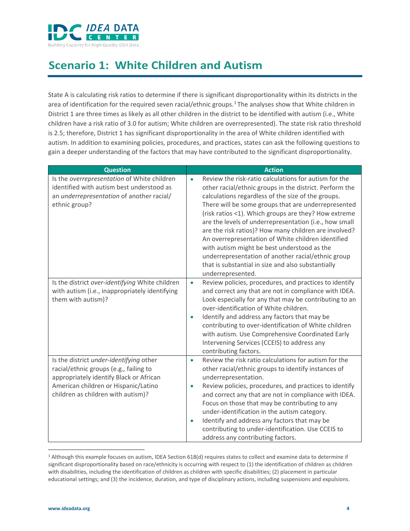

#### **Scenario 1: White Children and Autism**

State A is calculating risk ratios to determine if there is significant disproportionality within its districts in the area of identification for the required seven racial/ethnic groups.[1](#page-3-0) The analyses show that White children in District 1 are three times as likely as all other children in the district to be identified with autism (i.e., White children have a risk ratio of 3.0 for autism; White children are overrepresented). The state risk ratio threshold is 2.5; therefore, District 1 has significant disproportionality in the area of White children identified with autism. In addition to examining policies, procedures, and practices, states can ask the following questions to gain a deeper understanding of the factors that may have contributed to the significant disproportionality.

| <b>Question</b>                                                                                                                                                                                            | <b>Action</b>                                                                                                                                                                                                                                                                                                                                                                                                                                                                                                                                                                                                                                               |
|------------------------------------------------------------------------------------------------------------------------------------------------------------------------------------------------------------|-------------------------------------------------------------------------------------------------------------------------------------------------------------------------------------------------------------------------------------------------------------------------------------------------------------------------------------------------------------------------------------------------------------------------------------------------------------------------------------------------------------------------------------------------------------------------------------------------------------------------------------------------------------|
| Is the overrepresentation of White children<br>identified with autism best understood as<br>an underrepresentation of another racial/<br>ethnic group?                                                     | Review the risk-ratio calculations for autism for the<br>$\bullet$<br>other racial/ethnic groups in the district. Perform the<br>calculations regardless of the size of the groups.<br>There will be some groups that are underrepresented<br>(risk ratios <1). Which groups are they? How extreme<br>are the levels of underrepresentation (i.e., how small<br>are the risk ratios)? How many children are involved?<br>An overrepresentation of White children identified<br>with autism might be best understood as the<br>underrepresentation of another racial/ethnic group<br>that is substantial in size and also substantially<br>underrepresented. |
| Is the district over-identifying White children<br>with autism (i.e., inappropriately identifying<br>them with autism)?                                                                                    | Review policies, procedures, and practices to identify<br>$\bullet$<br>and correct any that are not in compliance with IDEA.<br>Look especially for any that may be contributing to an<br>over-identification of White children.<br>Identify and address any factors that may be<br>$\bullet$<br>contributing to over-identification of White children<br>with autism. Use Comprehensive Coordinated Early<br>Intervening Services (CCEIS) to address any<br>contributing factors.                                                                                                                                                                          |
| Is the district under-identifying other<br>racial/ethnic groups (e.g., failing to<br>appropriately identify Black or African<br>American children or Hispanic/Latino<br>children as children with autism)? | Review the risk ratio calculations for autism for the<br>$\bullet$<br>other racial/ethnic groups to identify instances of<br>underrepresentation.<br>Review policies, procedures, and practices to identify<br>$\bullet$<br>and correct any that are not in compliance with IDEA.<br>Focus on those that may be contributing to any<br>under-identification in the autism category.<br>Identify and address any factors that may be<br>$\bullet$<br>contributing to under-identification. Use CCEIS to<br>address any contributing factors.                                                                                                                 |

<span id="page-3-0"></span> $1$  Although this example focuses on autism, IDEA Section 618(d) requires states to collect and examine data to determine if significant disproportionality based on race/ethnicity is occurring with respect to (1) the identification of children as children with disabilities, including the identification of children as children with specific disabilities; (2) placement in particular educational settings; and (3) the incidence, duration, and type of disciplinary actions, including suspensions and expulsions.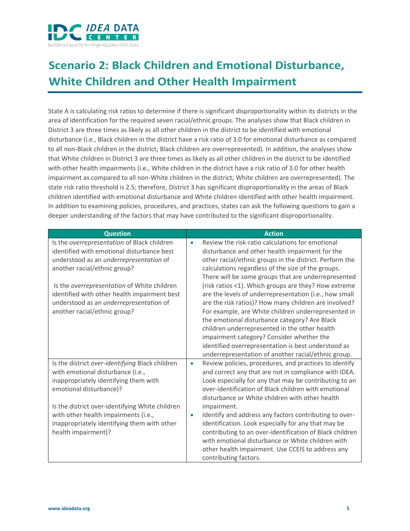

# **Scenario 2: Black Children and Emotional Disturbance, White Children and Other Health Impairment**

State A is calculating risk ratios to determine if there is significant disproportionality within its districts in the area of identification for the required seven racial/ethnic groups. The analyses show that Black children in District 3 are three times as likely as all other children in the district to be identified with emotional disturbance (i.e., Black children in the district have a risk ratio of 3.0 for emotional disturbance as compared to all non-Black children in the district; Black children are overrepresented). In addition, the analyses show that White children in District 3 are three times as likely as all other children in the district to be identified with other health impairments (i.e., White children in the district have a risk ratio of 3.0 for other health impairment as compared to all non-White children in the district; White children are overrepresented). The state risk ratio threshold is 2.5; therefore, District 3 has significant disproportionality in the areas of Black children identified with emotional disturbance and White children identified with other health impairment. In addition to examining policies, procedures, and practices, states can ask the following questions to gain a deeper understanding of the factors that may have contributed to the significant disproportionality.

| <b>Question</b>                                                                                                                                                                                                                                                                                                                                | <b>Action</b>                                                                                                                                                                                                                                                                                                                                                                                                                                                                                                                                                                                                                                                             |
|------------------------------------------------------------------------------------------------------------------------------------------------------------------------------------------------------------------------------------------------------------------------------------------------------------------------------------------------|---------------------------------------------------------------------------------------------------------------------------------------------------------------------------------------------------------------------------------------------------------------------------------------------------------------------------------------------------------------------------------------------------------------------------------------------------------------------------------------------------------------------------------------------------------------------------------------------------------------------------------------------------------------------------|
| Is the overrepresentation of Black children<br>identified with emotional disturbance best<br>understood as an underrepresentation of<br>another racial/ethnic group?<br>Is the overrepresentation of White children<br>identified with other health impairment best<br>understood as an underrepresentation of<br>another racial/ethnic group? | Review the risk-ratio calculations for emotional<br>$\bullet$<br>disturbance and other health impairment for the<br>other racial/ethnic groups in the district. Perform the<br>calculations regardless of the size of the groups.<br>There will be some groups that are underrepresented<br>(risk ratios <1). Which groups are they? How extreme<br>are the levels of underrepresentation (i.e., how small<br>are the risk ratios)? How many children are involved?<br>For example, are White children underrepresented in<br>the emotional disturbance category? Are Black<br>children underrepresented in the other health<br>impairment category? Consider whether the |
|                                                                                                                                                                                                                                                                                                                                                | identified overrepresentation is best understood as<br>underrepresentation of another racial/ethnic group.                                                                                                                                                                                                                                                                                                                                                                                                                                                                                                                                                                |
| Is the district over-identifying Black children<br>with emotional disturbance (i.e.,<br>inappropriately identifying them with<br>emotional disturbance)?                                                                                                                                                                                       | Review policies, procedures, and practices to identify<br>$\bullet$<br>and correct any that are not in compliance with IDEA.<br>Look especially for any that may be contributing to an<br>over-identification of Black children with emotional<br>disturbance or White children with other health                                                                                                                                                                                                                                                                                                                                                                         |
| Is the district over-identifying White children<br>with other health impairments (i.e.,<br>inappropriately identifying them with other<br>health impairment)?                                                                                                                                                                                  | impairment.<br>Identify and address any factors contributing to over-<br>$\bullet$<br>identification. Look especially for any that may be<br>contributing to an over-identification of Black children<br>with emotional disturbance or White children with<br>other health impairment. Use CCEIS to address any<br>contributing factors.                                                                                                                                                                                                                                                                                                                                  |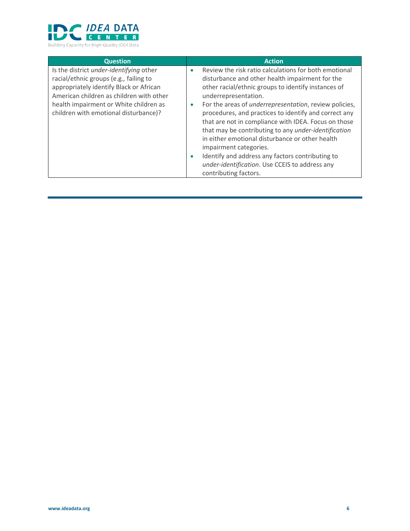

| <b>Question</b><br>Is the district under-identifying other<br>racial/ethnic groups (e.g., failing to<br>appropriately identify Black or African | <b>Action</b><br>Review the risk ratio calculations for both emotional<br>۰<br>disturbance and other health impairment for the<br>other racial/ethnic groups to identify instances of                                                                                |
|-------------------------------------------------------------------------------------------------------------------------------------------------|----------------------------------------------------------------------------------------------------------------------------------------------------------------------------------------------------------------------------------------------------------------------|
| American children as children with other<br>health impairment or White children as<br>children with emotional disturbance)?                     | underrepresentation.<br>For the areas of <i>underrepresentation</i> , review policies,<br>۰<br>procedures, and practices to identify and correct any<br>that are not in compliance with IDEA. Focus on those<br>that may be contributing to any under-identification |
|                                                                                                                                                 | in either emotional disturbance or other health<br>impairment categories.<br>Identify and address any factors contributing to<br>۰<br>under-identification. Use CCEIS to address any<br>contributing factors.                                                        |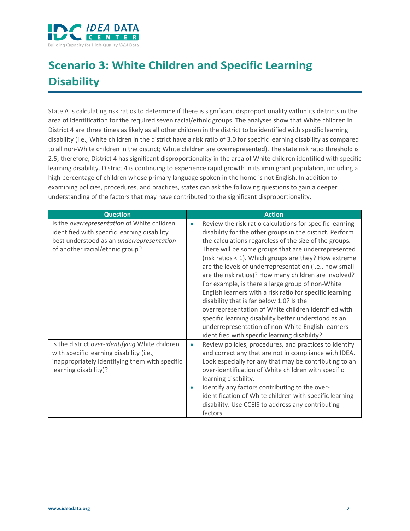

# **Scenario 3: White Children and Specific Learning Disability**

State A is calculating risk ratios to determine if there is significant disproportionality within its districts in the area of identification for the required seven racial/ethnic groups. The analyses show that White children in District 4 are three times as likely as all other children in the district to be identified with specific learning disability (i.e., White children in the district have a risk ratio of 3.0 for specific learning disability as compared to all non-White children in the district; White children are overrepresented). The state risk ratio threshold is 2.5; therefore, District 4 has significant disproportionality in the area of White children identified with specific learning disability. District 4 is continuing to experience rapid growth in its immigrant population, including a high percentage of children whose primary language spoken in the home is not English. In addition to examining policies, procedures, and practices, states can ask the following questions to gain a deeper understanding of the factors that may have contributed to the significant disproportionality.

| <b>Question</b>                                                                                                                                                             | <b>Action</b>                                                                                                                                                                                                                                                                                                                                                                                                                                                                                                                                                                                                                                                                                                                                                                                                    |
|-----------------------------------------------------------------------------------------------------------------------------------------------------------------------------|------------------------------------------------------------------------------------------------------------------------------------------------------------------------------------------------------------------------------------------------------------------------------------------------------------------------------------------------------------------------------------------------------------------------------------------------------------------------------------------------------------------------------------------------------------------------------------------------------------------------------------------------------------------------------------------------------------------------------------------------------------------------------------------------------------------|
| Is the overrepresentation of White children<br>identified with specific learning disability<br>best understood as an underrepresentation<br>of another racial/ethnic group? | Review the risk-ratio calculations for specific learning<br>$\bullet$<br>disability for the other groups in the district. Perform<br>the calculations regardless of the size of the groups.<br>There will be some groups that are underrepresented<br>(risk ratios < 1). Which groups are they? How extreme<br>are the levels of underrepresentation (i.e., how small<br>are the risk ratios)? How many children are involved?<br>For example, is there a large group of non-White<br>English learners with a risk ratio for specific learning<br>disability that is far below 1.0? Is the<br>overrepresentation of White children identified with<br>specific learning disability better understood as an<br>underrepresentation of non-White English learners<br>identified with specific learning disability? |
| Is the district over-identifying White children<br>with specific learning disability (i.e.,<br>inappropriately identifying them with specific<br>learning disability)?      | Review policies, procedures, and practices to identify<br>$\bullet$<br>and correct any that are not in compliance with IDEA.<br>Look especially for any that may be contributing to an<br>over-identification of White children with specific<br>learning disability.<br>Identify any factors contributing to the over-<br>۰<br>identification of White children with specific learning<br>disability. Use CCEIS to address any contributing<br>factors.                                                                                                                                                                                                                                                                                                                                                         |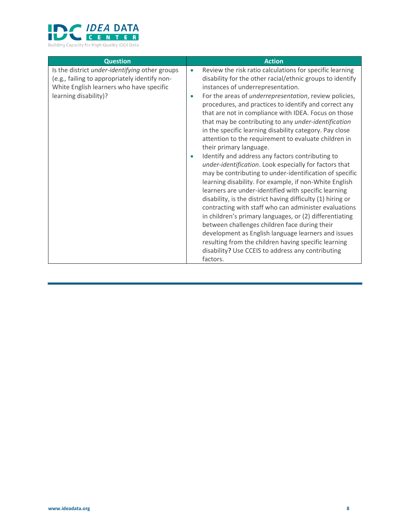

| <b>Question</b>                                                                                                                                                      | <b>Action</b>                                                                                                                                                                                                                                                                                                                                                                                                                                                                                                                                                                                                                                                                                                                                                                                                                                                                                                                                                                                                                                                                                                                                                                                                                                                                                     |
|----------------------------------------------------------------------------------------------------------------------------------------------------------------------|---------------------------------------------------------------------------------------------------------------------------------------------------------------------------------------------------------------------------------------------------------------------------------------------------------------------------------------------------------------------------------------------------------------------------------------------------------------------------------------------------------------------------------------------------------------------------------------------------------------------------------------------------------------------------------------------------------------------------------------------------------------------------------------------------------------------------------------------------------------------------------------------------------------------------------------------------------------------------------------------------------------------------------------------------------------------------------------------------------------------------------------------------------------------------------------------------------------------------------------------------------------------------------------------------|
| Is the district under-identifying other groups<br>(e.g., failing to appropriately identify non-<br>White English learners who have specific<br>learning disability)? | Review the risk ratio calculations for specific learning<br>$\bullet$<br>disability for the other racial/ethnic groups to identify<br>instances of underrepresentation.<br>For the areas of <i>underrepresentation</i> , review policies,<br>$\bullet$<br>procedures, and practices to identify and correct any<br>that are not in compliance with IDEA. Focus on those<br>that may be contributing to any under-identification<br>in the specific learning disability category. Pay close<br>attention to the requirement to evaluate children in<br>their primary language.<br>Identify and address any factors contributing to<br>۰<br>under-identification. Look especially for factors that<br>may be contributing to under-identification of specific<br>learning disability. For example, if non-White English<br>learners are under-identified with specific learning<br>disability, is the district having difficulty (1) hiring or<br>contracting with staff who can administer evaluations<br>in children's primary languages, or (2) differentiating<br>between challenges children face during their<br>development as English language learners and issues<br>resulting from the children having specific learning<br>disability? Use CCEIS to address any contributing<br>factors. |